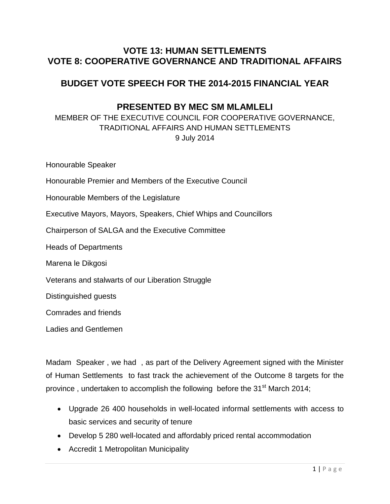## **VOTE 13: HUMAN SETTLEMENTS VOTE 8: COOPERATIVE GOVERNANCE AND TRADITIONAL AFFAIRS**

# **BUDGET VOTE SPEECH FOR THE 2014-2015 FINANCIAL YEAR**

## **PRESENTED BY MEC SM MLAMLELI**

MEMBER OF THE EXECUTIVE COUNCIL FOR COOPERATIVE GOVERNANCE, TRADITIONAL AFFAIRS AND HUMAN SETTLEMENTS 9 July 2014

Honourable Speaker Honourable Premier and Members of the Executive Council Honourable Members of the Legislature Executive Mayors, Mayors, Speakers, Chief Whips and Councillors Chairperson of SALGA and the Executive Committee Heads of Departments Marena le Dikgosi Veterans and stalwarts of our Liberation Struggle Distinguished guests Comrades and friends Ladies and Gentlemen

Madam Speaker , we had , as part of the Delivery Agreement signed with the Minister of Human Settlements to fast track the achievement of the Outcome 8 targets for the province, undertaken to accomplish the following before the 31<sup>st</sup> March 2014;

- Upgrade 26 400 households in well-located informal settlements with access to basic services and security of tenure
- Develop 5 280 well-located and affordably priced rental accommodation
- Accredit 1 Metropolitan Municipality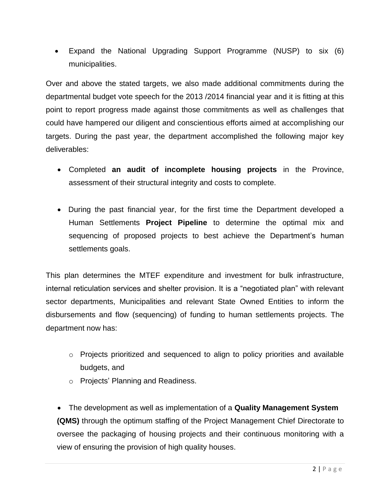Expand the National Upgrading Support Programme (NUSP) to six (6) municipalities.

Over and above the stated targets, we also made additional commitments during the departmental budget vote speech for the 2013 /2014 financial year and it is fitting at this point to report progress made against those commitments as well as challenges that could have hampered our diligent and conscientious efforts aimed at accomplishing our targets. During the past year, the department accomplished the following major key deliverables:

- Completed **an audit of incomplete housing projects** in the Province, assessment of their structural integrity and costs to complete.
- During the past financial year, for the first time the Department developed a Human Settlements **Project Pipeline** to determine the optimal mix and sequencing of proposed projects to best achieve the Department"s human settlements goals.

This plan determines the MTEF expenditure and investment for bulk infrastructure, internal reticulation services and shelter provision. It is a "negotiated plan" with relevant sector departments, Municipalities and relevant State Owned Entities to inform the disbursements and flow (sequencing) of funding to human settlements projects. The department now has:

- $\circ$  Projects prioritized and sequenced to align to policy priorities and available budgets, and
- o Projects" Planning and Readiness.

 The development as well as implementation of a **Quality Management System (QMS)** through the optimum staffing of the Project Management Chief Directorate to oversee the packaging of housing projects and their continuous monitoring with a view of ensuring the provision of high quality houses.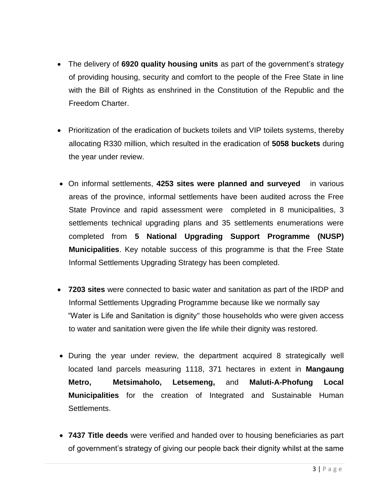- The delivery of **6920 quality housing units** as part of the government"s strategy of providing housing, security and comfort to the people of the Free State in line with the Bill of Rights as enshrined in the Constitution of the Republic and the Freedom Charter.
- Prioritization of the eradication of buckets toilets and VIP toilets systems, thereby allocating R330 million, which resulted in the eradication of **5058 buckets** during the year under review.
- On informal settlements, **4253 sites were planned and surveyed** in various areas of the province, informal settlements have been audited across the Free State Province and rapid assessment were completed in 8 municipalities, 3 settlements technical upgrading plans and 35 settlements enumerations were completed from **5 National Upgrading Support Programme (NUSP) Municipalities**. Key notable success of this programme is that the Free State Informal Settlements Upgrading Strategy has been completed.
- **7203 sites** were connected to basic water and sanitation as part of the IRDP and Informal Settlements Upgrading Programme because like we normally say "Water is Life and Sanitation is dignity" those households who were given access to water and sanitation were given the life while their dignity was restored.
- During the year under review, the department acquired 8 strategically well located land parcels measuring 1118, 371 hectares in extent in **Mangaung Metro, Metsimaholo, Letsemeng,** and **Maluti-A-Phofung Local Municipalities** for the creation of Integrated and Sustainable Human Settlements.
- **7437 Title deeds** were verified and handed over to housing beneficiaries as part of government"s strategy of giving our people back their dignity whilst at the same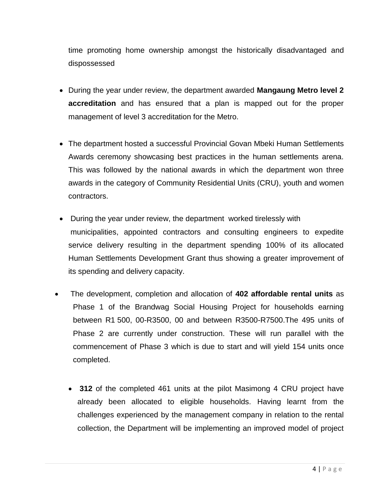time promoting home ownership amongst the historically disadvantaged and dispossessed

- During the year under review, the department awarded **Mangaung Metro level 2 accreditation** and has ensured that a plan is mapped out for the proper management of level 3 accreditation for the Metro.
- The department hosted a successful Provincial Govan Mbeki Human Settlements Awards ceremony showcasing best practices in the human settlements arena. This was followed by the national awards in which the department won three awards in the category of Community Residential Units (CRU), youth and women contractors.
- During the year under review, the department worked tirelessly with municipalities, appointed contractors and consulting engineers to expedite service delivery resulting in the department spending 100% of its allocated Human Settlements Development Grant thus showing a greater improvement of its spending and delivery capacity.
- The development, completion and allocation of **402 affordable rental units** as Phase 1 of the Brandwag Social Housing Project for households earning between R1 500, 00-R3500, 00 and between R3500-R7500.The 495 units of Phase 2 are currently under construction. These will run parallel with the commencement of Phase 3 which is due to start and will yield 154 units once completed.
	- **312** of the completed 461 units at the pilot Masimong 4 CRU project have already been allocated to eligible households. Having learnt from the challenges experienced by the management company in relation to the rental collection, the Department will be implementing an improved model of project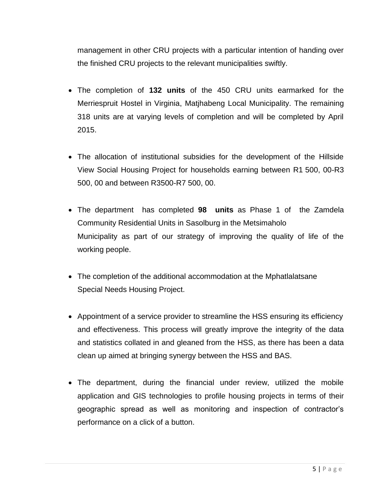management in other CRU projects with a particular intention of handing over the finished CRU projects to the relevant municipalities swiftly.

- The completion of **132 units** of the 450 CRU units earmarked for the Merriespruit Hostel in Virginia, Matjhabeng Local Municipality. The remaining 318 units are at varying levels of completion and will be completed by April 2015.
- The allocation of institutional subsidies for the development of the Hillside View Social Housing Project for households earning between R1 500, 00-R3 500, 00 and between R3500-R7 500, 00.
- The department has completed **98 units** as Phase 1 of the Zamdela Community Residential Units in Sasolburg in the Metsimaholo Municipality as part of our strategy of improving the quality of life of the working people.
- The completion of the additional accommodation at the Mphatlalatsane Special Needs Housing Project.
- Appointment of a service provider to streamline the HSS ensuring its efficiency and effectiveness. This process will greatly improve the integrity of the data and statistics collated in and gleaned from the HSS, as there has been a data clean up aimed at bringing synergy between the HSS and BAS.
- The department, during the financial under review, utilized the mobile application and GIS technologies to profile housing projects in terms of their geographic spread as well as monitoring and inspection of contractor"s performance on a click of a button.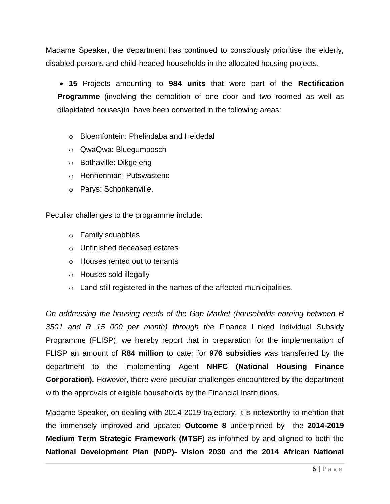Madame Speaker, the department has continued to consciously prioritise the elderly, disabled persons and child-headed households in the allocated housing projects.

 **15** Projects amounting to **984 units** that were part of the **Rectification Programme** (involving the demolition of one door and two roomed as well as dilapidated houses)in have been converted in the following areas:

- o Bloemfontein: Phelindaba and Heidedal
- o QwaQwa: Bluegumbosch
- o Bothaville: Dikgeleng
- o Hennenman: Putswastene
- o Parys: Schonkenville.

Peculiar challenges to the programme include:

- o Family squabbles
- o Unfinished deceased estates
- o Houses rented out to tenants
- o Houses sold illegally
- $\circ$  Land still registered in the names of the affected municipalities.

*On addressing the housing needs of the Gap Market (households earning between R 3501 and R 15 000 per month) through the* Finance Linked Individual Subsidy Programme (FLISP), we hereby report that in preparation for the implementation of FLISP an amount of **R84 million** to cater for **976 subsidies** was transferred by the department to the implementing Agent **NHFC (National Housing Finance Corporation).** However, there were peculiar challenges encountered by the department with the approvals of eligible households by the Financial Institutions.

Madame Speaker, on dealing with 2014-2019 trajectory, it is noteworthy to mention that the immensely improved and updated **Outcome 8** underpinned by the **2014-2019 Medium Term Strategic Framework (MTSF**) as informed by and aligned to both the **National Development Plan (NDP)- Vision 2030** and the **2014 African National**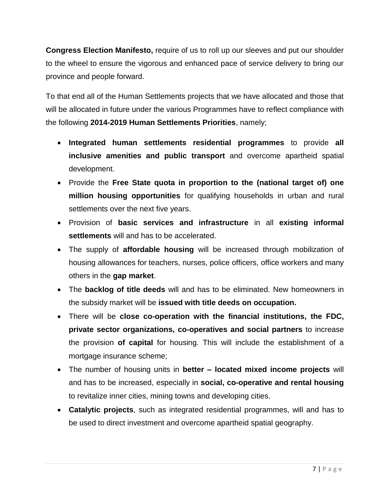**Congress Election Manifesto,** require of us to roll up our sleeves and put our shoulder to the wheel to ensure the vigorous and enhanced pace of service delivery to bring our province and people forward.

To that end all of the Human Settlements projects that we have allocated and those that will be allocated in future under the various Programmes have to reflect compliance with the following **2014-2019 Human Settlements Priorities**, namely;

- **Integrated human settlements residential programmes** to provide **all inclusive amenities and public transport** and overcome apartheid spatial development.
- Provide the **Free State quota in proportion to the (national target of) one million housing opportunities** for qualifying households in urban and rural settlements over the next five years.
- Provision of **basic services and infrastructure** in all **existing informal settlements** will and has to be accelerated.
- The supply of **affordable housing** will be increased through mobilization of housing allowances for teachers, nurses, police officers, office workers and many others in the **gap market**.
- The **backlog of title deeds** will and has to be eliminated. New homeowners in the subsidy market will be **issued with title deeds on occupation.**
- There will be **close co-operation with the financial institutions, the FDC, private sector organizations, co-operatives and social partners** to increase the provision **of capital** for housing. This will include the establishment of a mortgage insurance scheme;
- The number of housing units in **better – located mixed income projects** will and has to be increased, especially in **social, co-operative and rental housing** to revitalize inner cities, mining towns and developing cities.
- **Catalytic projects**, such as integrated residential programmes, will and has to be used to direct investment and overcome apartheid spatial geography.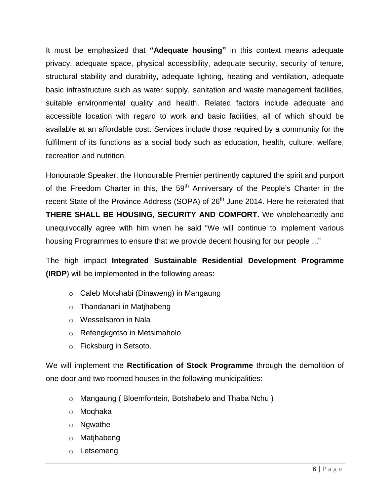It must be emphasized that **"Adequate housing"** in this context means adequate privacy, adequate space, physical accessibility, adequate security, security of tenure, structural stability and durability, adequate lighting, heating and ventilation, adequate basic infrastructure such as water supply, sanitation and waste management facilities, suitable environmental quality and health. Related factors include adequate and accessible location with regard to work and basic facilities, all of which should be available at an affordable cost. Services include those required by a community for the fulfilment of its functions as a social body such as education, health, culture, welfare, recreation and nutrition.

Honourable Speaker, the Honourable Premier pertinently captured the spirit and purport of the Freedom Charter in this, the 59<sup>th</sup> Anniversary of the People's Charter in the recent State of the Province Address (SOPA) of 26<sup>th</sup> June 2014. Here he reiterated that **THERE SHALL BE HOUSING, SECURITY AND COMFORT.** We wholeheartedly and unequivocally agree with him when he said "We will continue to implement various housing Programmes to ensure that we provide decent housing for our people ..."

The high impact **Integrated Sustainable Residential Development Programme (IRDP**) will be implemented in the following areas:

- o Caleb Motshabi (Dinaweng) in Mangaung
- o Thandanani in Matjhabeng
- o Wesselsbron in Nala
- o Refengkgotso in Metsimaholo
- o Ficksburg in Setsoto.

We will implement the **Rectification of Stock Programme** through the demolition of one door and two roomed houses in the following municipalities:

- o Mangaung ( Bloemfontein, Botshabelo and Thaba Nchu )
- o Moqhaka
- o Ngwathe
- o Matjhabeng
- o Letsemeng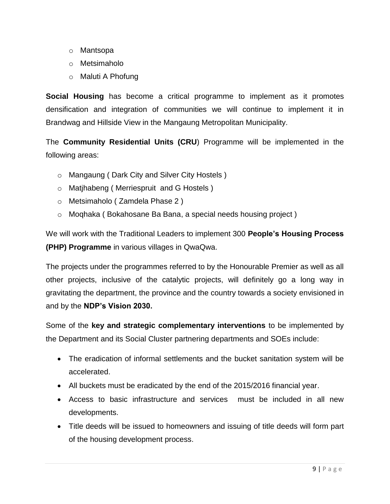- o Mantsopa
- o Metsimaholo
- o Maluti A Phofung

**Social Housing** has become a critical programme to implement as it promotes densification and integration of communities we will continue to implement it in Brandwag and Hillside View in the Mangaung Metropolitan Municipality.

The **Community Residential Units (CRU**) Programme will be implemented in the following areas:

- o Mangaung ( Dark City and Silver City Hostels )
- o Matjhabeng ( Merriespruit and G Hostels )
- o Metsimaholo ( Zamdela Phase 2 )
- o Moqhaka ( Bokahosane Ba Bana, a special needs housing project )

We will work with the Traditional Leaders to implement 300 **People's Housing Process (PHP) Programme** in various villages in QwaQwa.

The projects under the programmes referred to by the Honourable Premier as well as all other projects, inclusive of the catalytic projects, will definitely go a long way in gravitating the department, the province and the country towards a society envisioned in and by the **NDP's Vision 2030.**

Some of the **key and strategic complementary interventions** to be implemented by the Department and its Social Cluster partnering departments and SOEs include:

- The eradication of informal settlements and the bucket sanitation system will be accelerated.
- All buckets must be eradicated by the end of the 2015/2016 financial year.
- Access to basic infrastructure and services must be included in all new developments.
- Title deeds will be issued to homeowners and issuing of title deeds will form part of the housing development process.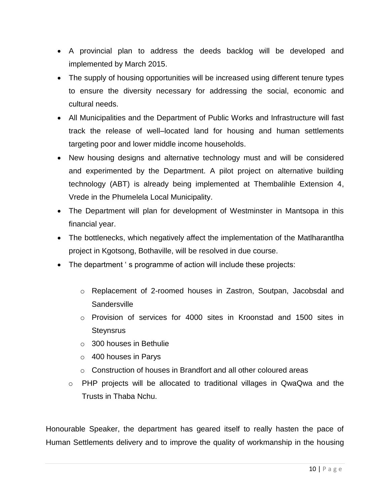- A provincial plan to address the deeds backlog will be developed and implemented by March 2015.
- The supply of housing opportunities will be increased using different tenure types to ensure the diversity necessary for addressing the social, economic and cultural needs.
- All Municipalities and the Department of Public Works and Infrastructure will fast track the release of well–located land for housing and human settlements targeting poor and lower middle income households.
- New housing designs and alternative technology must and will be considered and experimented by the Department. A pilot project on alternative building technology (ABT) is already being implemented at Thembalihle Extension 4, Vrede in the Phumelela Local Municipality.
- The Department will plan for development of Westminster in Mantsopa in this financial year.
- The bottlenecks, which negatively affect the implementation of the Matlharantlha project in Kgotsong, Bothaville, will be resolved in due course.
- The department 's programme of action will include these projects:
	- o Replacement of 2-roomed houses in Zastron, Soutpan, Jacobsdal and **Sandersville**
	- $\circ$  Provision of services for 4000 sites in Kroonstad and 1500 sites in **Steynsrus**
	- o 300 houses in Bethulie
	- o 400 houses in Parys
	- o Construction of houses in Brandfort and all other coloured areas
	- o PHP projects will be allocated to traditional villages in QwaQwa and the Trusts in Thaba Nchu.

Honourable Speaker, the department has geared itself to really hasten the pace of Human Settlements delivery and to improve the quality of workmanship in the housing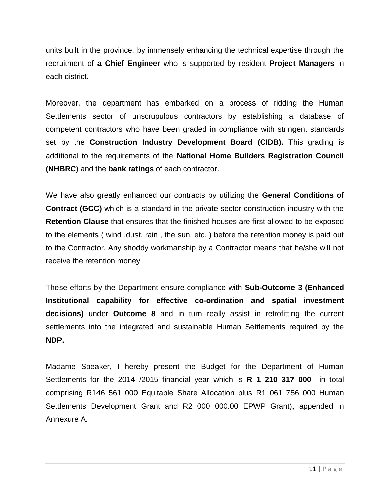units built in the province, by immensely enhancing the technical expertise through the recruitment of **a Chief Engineer** who is supported by resident **Project Managers** in each district.

Moreover, the department has embarked on a process of ridding the Human Settlements sector of unscrupulous contractors by establishing a database of competent contractors who have been graded in compliance with stringent standards set by the **Construction Industry Development Board (CIDB).** This grading is additional to the requirements of the **National Home Builders Registration Council (NHBRC**) and the **bank ratings** of each contractor.

We have also greatly enhanced our contracts by utilizing the **General Conditions of Contract (GCC)** which is a standard in the private sector construction industry with the **Retention Clause** that ensures that the finished houses are first allowed to be exposed to the elements ( wind ,dust, rain , the sun, etc. ) before the retention money is paid out to the Contractor. Any shoddy workmanship by a Contractor means that he/she will not receive the retention money

These efforts by the Department ensure compliance with **Sub-Outcome 3 (Enhanced Institutional capability for effective co-ordination and spatial investment decisions)** under **Outcome 8** and in turn really assist in retrofitting the current settlements into the integrated and sustainable Human Settlements required by the **NDP.**

Madame Speaker, I hereby present the Budget for the Department of Human Settlements for the 2014 /2015 financial year which is **R 1 210 317 000** in total comprising R146 561 000 Equitable Share Allocation plus R1 061 756 000 Human Settlements Development Grant and R2 000 000.00 EPWP Grant), appended in Annexure A.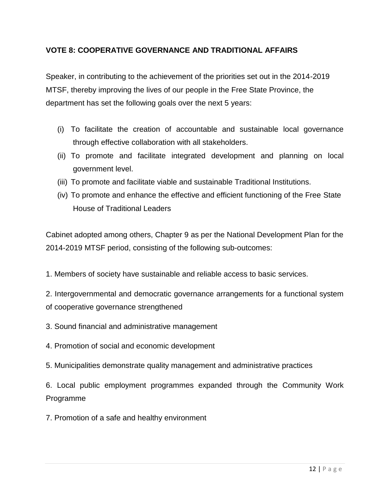#### **VOTE 8: COOPERATIVE GOVERNANCE AND TRADITIONAL AFFAIRS**

Speaker, in contributing to the achievement of the priorities set out in the 2014-2019 MTSF, thereby improving the lives of our people in the Free State Province, the department has set the following goals over the next 5 years:

- (i) To facilitate the creation of accountable and sustainable local governance through effective collaboration with all stakeholders.
- (ii) To promote and facilitate integrated development and planning on local government level.
- (iii) To promote and facilitate viable and sustainable Traditional Institutions.
- (iv) To promote and enhance the effective and efficient functioning of the Free State House of Traditional Leaders

Cabinet adopted among others, Chapter 9 as per the National Development Plan for the 2014-2019 MTSF period, consisting of the following sub-outcomes:

1. Members of society have sustainable and reliable access to basic services.

2. Intergovernmental and democratic governance arrangements for a functional system of cooperative governance strengthened

- 3. Sound financial and administrative management
- 4. Promotion of social and economic development
- 5. Municipalities demonstrate quality management and administrative practices

6. Local public employment programmes expanded through the Community Work Programme

7. Promotion of a safe and healthy environment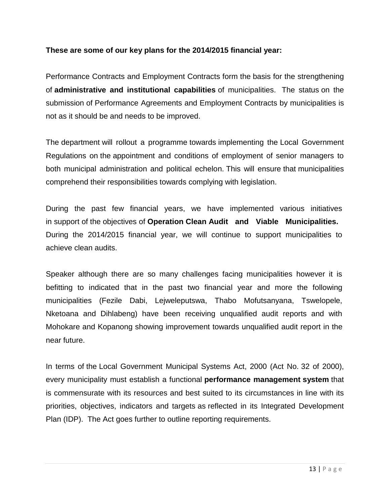#### **These are some of our key plans for the 2014/2015 financial year:**

Performance Contracts and Employment Contracts form the basis for the strengthening of **administrative and institutional capabilities** of municipalities. The status on the submission of Performance Agreements and Employment Contracts by municipalities is not as it should be and needs to be improved.

The department will rollout a programme towards implementing the Local Government Regulations on the appointment and conditions of employment of senior managers to both municipal administration and political echelon. This will ensure that municipalities comprehend their responsibilities towards complying with legislation.

During the past few financial years, we have implemented various initiatives in support of the objectives of **Operation Clean Audit and Viable Municipalities.** During the 2014/2015 financial year, we will continue to support municipalities to achieve clean audits.

Speaker although there are so many challenges facing municipalities however it is befitting to indicated that in the past two financial year and more the following municipalities (Fezile Dabi, Lejweleputswa, Thabo Mofutsanyana, Tswelopele, Nketoana and Dihlabeng) have been receiving unqualified audit reports and with Mohokare and Kopanong showing improvement towards unqualified audit report in the near future.

In terms of the Local Government Municipal Systems Act, 2000 (Act No. 32 of 2000), every municipality must establish a functional **performance management system** that is commensurate with its resources and best suited to its circumstances in line with its priorities, objectives, indicators and targets as reflected in its Integrated Development Plan (IDP). The Act goes further to outline reporting requirements.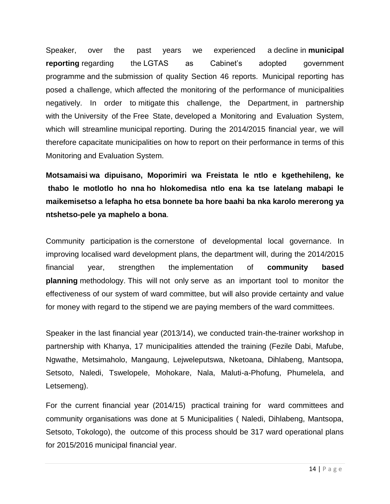Speaker, over the past years we experienced a decline in **municipal reporting** regarding the LGTAS as Cabinet's adopted government programme and the submission of quality Section 46 reports. Municipal reporting has posed a challenge, which affected the monitoring of the performance of municipalities negatively. In order to mitigate this challenge, the Department, in partnership with the University of the Free State, developed a Monitoring and Evaluation System, which will streamline municipal reporting. During the 2014/2015 financial year, we will therefore capacitate municipalities on how to report on their performance in terms of this Monitoring and Evaluation System.

**Motsamaisi wa dipuisano, Moporimiri wa Freistata le ntlo e kgethehileng, ke thabo le motlotlo ho nna ho hlokomedisa ntlo ena ka tse latelang mabapi le maikemisetso a lefapha ho etsa bonnete ba hore baahi ba nka karolo mererong ya ntshetso-pele ya maphelo a bona**.

Community participation is the cornerstone of developmental local governance. In improving localised ward development plans, the department will, during the 2014/2015 financial year, strengthen the implementation of **community based planning** methodology. This will not only serve as an important tool to monitor the effectiveness of our system of ward committee, but will also provide certainty and value for money with regard to the stipend we are paying members of the ward committees.

Speaker in the last financial year (2013/14), we conducted train-the-trainer workshop in partnership with Khanya, 17 municipalities attended the training (Fezile Dabi, Mafube, Ngwathe, Metsimaholo, Mangaung, Lejweleputswa, Nketoana, Dihlabeng, Mantsopa, Setsoto, Naledi, Tswelopele, Mohokare, Nala, Maluti-a-Phofung, Phumelela, and Letsemeng).

For the current financial year (2014/15) practical training for ward committees and community organisations was done at 5 Municipalities ( Naledi, Dihlabeng, Mantsopa, Setsoto, Tokologo), the outcome of this process should be 317 ward operational plans for 2015/2016 municipal financial year.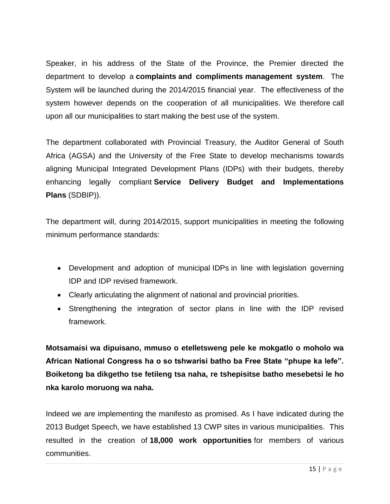Speaker, in his address of the State of the Province, the Premier directed the department to develop a **complaints and compliments management system**. The System will be launched during the 2014/2015 financial year. The effectiveness of the system however depends on the cooperation of all municipalities. We therefore call upon all our municipalities to start making the best use of the system.

The department collaborated with Provincial Treasury, the Auditor General of South Africa (AGSA) and the University of the Free State to develop mechanisms towards aligning Municipal Integrated Development Plans (IDPs) with their budgets, thereby enhancing legally compliant **Service Delivery Budget and Implementations Plans** (SDBIP)).

The department will, during 2014/2015, support municipalities in meeting the following minimum performance standards:

- Development and adoption of municipal IDPs in line with legislation governing IDP and IDP revised framework.
- Clearly articulating the alignment of national and provincial priorities.
- Strengthening the integration of sector plans in line with the IDP revised framework.

**Motsamaisi wa dipuisano, mmuso o etelletsweng pele ke mokgatlo o moholo wa African National Congress ha o so tshwarisi batho ba Free State "phupe ka lefe". Boiketong ba dikgetho tse fetileng tsa naha, re tshepisitse batho mesebetsi le ho nka karolo moruong wa naha.**

Indeed we are implementing the manifesto as promised. As I have indicated during the 2013 Budget Speech, we have established 13 CWP sites in various municipalities. This resulted in the creation of **18,000 work opportunities** for members of various communities.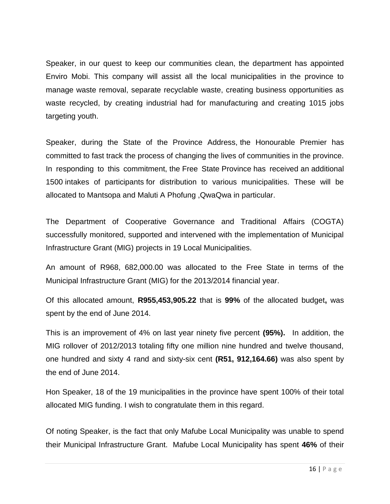Speaker, in our quest to keep our communities clean, the department has appointed Enviro Mobi. This company will assist all the local municipalities in the province to manage waste removal, separate recyclable waste, creating business opportunities as waste recycled, by creating industrial had for manufacturing and creating 1015 jobs targeting youth.

Speaker, during the State of the Province Address, the Honourable Premier has committed to fast track the process of changing the lives of communities in the province. In responding to this commitment, the Free State Province has received an additional 1500 intakes of participants for distribution to various municipalities. These will be allocated to Mantsopa and Maluti A Phofung ,QwaQwa in particular.

The Department of Cooperative Governance and Traditional Affairs (COGTA) successfully monitored, supported and intervened with the implementation of Municipal Infrastructure Grant (MIG) projects in 19 Local Municipalities.

An amount of R968, 682,000.00 was allocated to the Free State in terms of the Municipal Infrastructure Grant (MIG) for the 2013/2014 financial year.

Of this allocated amount, **R955,453,905.22** that is **99%** of the allocated budget**,** was spent by the end of June 2014.

This is an improvement of 4% on last year ninety five percent **(95%).** In addition, the MIG rollover of 2012/2013 totaling fifty one million nine hundred and twelve thousand, one hundred and sixty 4 rand and sixty-six cent **(R51, 912,164.66)** was also spent by the end of June 2014.

Hon Speaker, 18 of the 19 municipalities in the province have spent 100% of their total allocated MIG funding. I wish to congratulate them in this regard.

Of noting Speaker, is the fact that only Mafube Local Municipality was unable to spend their Municipal Infrastructure Grant. Mafube Local Municipality has spent **46%** of their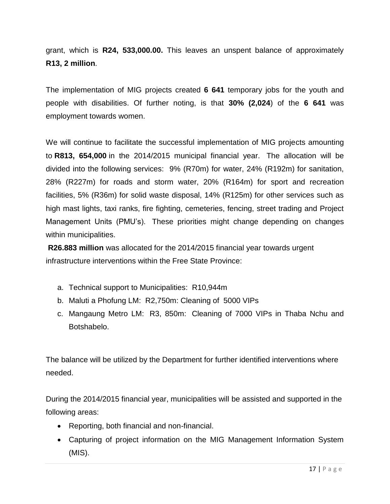grant, which is **R24, 533,000.00.** This leaves an unspent balance of approximately **R13, 2 million**.

The implementation of MIG projects created **6 641** temporary jobs for the youth and people with disabilities. Of further noting, is that **30% (2,024**) of the **6 641** was employment towards women.

We will continue to facilitate the successful implementation of MIG projects amounting to **R813, 654,000** in the 2014/2015 municipal financial year. The allocation will be divided into the following services: 9% (R70m) for water, 24% (R192m) for sanitation, 28% (R227m) for roads and storm water, 20% (R164m) for sport and recreation facilities, 5% (R36m) for solid waste disposal, 14% (R125m) for other services such as high mast lights, taxi ranks, fire fighting, cemeteries, fencing, street trading and Project Management Units (PMU"s). These priorities might change depending on changes within municipalities.

**R26.883 million** was allocated for the 2014/2015 financial year towards urgent infrastructure interventions within the Free State Province:

- a. Technical support to Municipalities: R10,944m
- b. Maluti a Phofung LM: R2,750m: Cleaning of 5000 VIPs
- c. Mangaung Metro LM: R3, 850m: Cleaning of 7000 VIPs in Thaba Nchu and Botshabelo.

The balance will be utilized by the Department for further identified interventions where needed.

During the 2014/2015 financial year, municipalities will be assisted and supported in the following areas:

- Reporting, both financial and non-financial.
- Capturing of project information on the MIG Management Information System (MIS).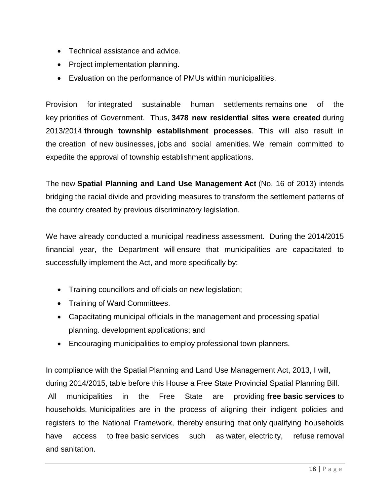- Technical assistance and advice.
- Project implementation planning.
- Evaluation on the performance of PMUs within municipalities.

Provision for integrated sustainable human settlements remains one of the key priorities of Government. Thus, **3478 new residential sites were created** during 2013/2014 **through township establishment processes**. This will also result in the creation of new businesses, jobs and social amenities. We remain committed to expedite the approval of township establishment applications.

The new **Spatial Planning and Land Use Management Act** (No. 16 of 2013) intends bridging the racial divide and providing measures to transform the settlement patterns of the country created by previous discriminatory legislation.

We have already conducted a municipal readiness assessment. During the 2014/2015 financial year, the Department will ensure that municipalities are capacitated to successfully implement the Act, and more specifically by:

- Training councillors and officials on new legislation;
- Training of Ward Committees.
- Capacitating municipal officials in the management and processing spatial planning. development applications; and
- Encouraging municipalities to employ professional town planners.

In compliance with the Spatial Planning and Land Use Management Act, 2013, I will, during 2014/2015, table before this House a Free State Provincial Spatial Planning Bill.

All municipalities in the Free State are providing **free basic services** to households. Municipalities are in the process of aligning their indigent policies and registers to the National Framework, thereby ensuring that only qualifying households have access to free basic services such as water, electricity, refuse removal and sanitation.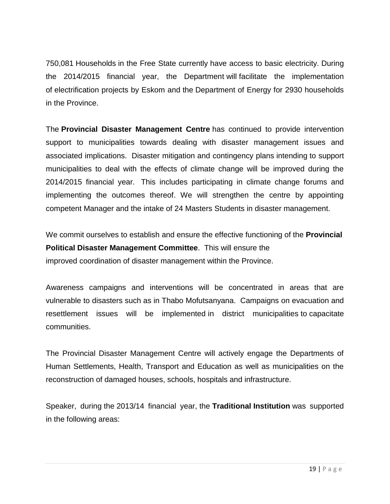750,081 Households in the Free State currently have access to basic electricity. During the 2014/2015 financial year, the Department will facilitate the implementation of electrification projects by Eskom and the Department of Energy for 2930 households in the Province.

The **Provincial Disaster Management Centre** has continued to provide intervention support to municipalities towards dealing with disaster management issues and associated implications. Disaster mitigation and contingency plans intending to support municipalities to deal with the effects of climate change will be improved during the 2014/2015 financial year. This includes participating in climate change forums and implementing the outcomes thereof. We will strengthen the centre by appointing competent Manager and the intake of 24 Masters Students in disaster management.

We commit ourselves to establish and ensure the effective functioning of the **Provincial Political Disaster Management Committee**. This will ensure the improved coordination of disaster management within the Province.

Awareness campaigns and interventions will be concentrated in areas that are vulnerable to disasters such as in Thabo Mofutsanyana. Campaigns on evacuation and resettlement issues will be implemented in district municipalities to capacitate communities.

The Provincial Disaster Management Centre will actively engage the Departments of Human Settlements, Health, Transport and Education as well as municipalities on the reconstruction of damaged houses, schools, hospitals and infrastructure.

Speaker, during the 2013/14 financial year, the **Traditional Institution** was supported in the following areas: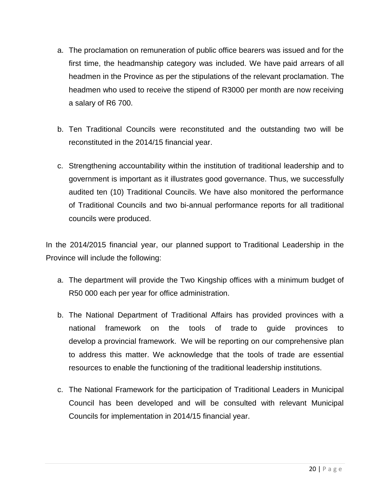- a. The proclamation on remuneration of public office bearers was issued and for the first time, the headmanship category was included. We have paid arrears of all headmen in the Province as per the stipulations of the relevant proclamation. The headmen who used to receive the stipend of R3000 per month are now receiving a salary of R6 700.
- b. Ten Traditional Councils were reconstituted and the outstanding two will be reconstituted in the 2014/15 financial year.
- c. Strengthening accountability within the institution of traditional leadership and to government is important as it illustrates good governance. Thus, we successfully audited ten (10) Traditional Councils. We have also monitored the performance of Traditional Councils and two bi-annual performance reports for all traditional councils were produced.

In the 2014/2015 financial year, our planned support to Traditional Leadership in the Province will include the following:

- a. The department will provide the Two Kingship offices with a minimum budget of R50 000 each per year for office administration.
- b. The National Department of Traditional Affairs has provided provinces with a national framework on the tools of trade to guide provinces to develop a provincial framework. We will be reporting on our comprehensive plan to address this matter. We acknowledge that the tools of trade are essential resources to enable the functioning of the traditional leadership institutions.
- c. The National Framework for the participation of Traditional Leaders in Municipal Council has been developed and will be consulted with relevant Municipal Councils for implementation in 2014/15 financial year.